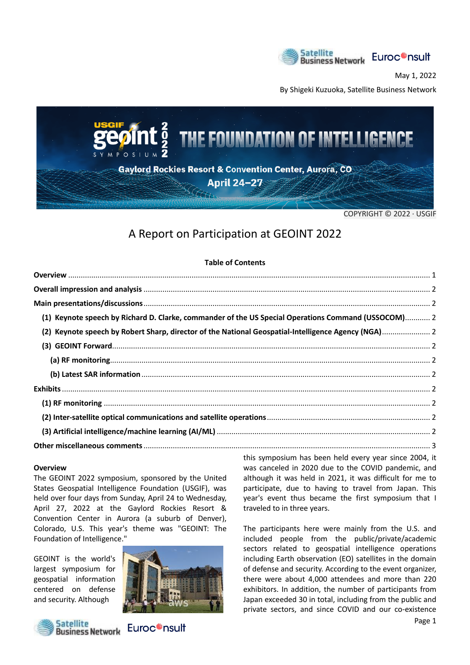

May 1, 2022

By Shigeki Kuzuoka, Satellite Business Network



COPYRIGHT © 2022 · USGIF

## A Report on Participation at GEOINT 2022

|--|

| (1) Keynote speech by Richard D. Clarke, commander of the US Special Operations Command (USSOCOM) 2 |  |
|-----------------------------------------------------------------------------------------------------|--|
| (2) Keynote speech by Robert Sharp, director of the National Geospatial-Intelligence Agency (NGA) 2 |  |
|                                                                                                     |  |
|                                                                                                     |  |
|                                                                                                     |  |
|                                                                                                     |  |
|                                                                                                     |  |
|                                                                                                     |  |
|                                                                                                     |  |
|                                                                                                     |  |
|                                                                                                     |  |

### **Overview**

The GEOINT 2022 symposium, sponsored by the United States Geospatial Intelligence Foundation (USGIF), was held over four days from Sunday, April 24 to Wednesday, April 27, 2022 at the Gaylord Rockies Resort & Convention Center in Aurora (a suburb of Denver), Colorado, U.S. This year's theme was "GEOINT: The Foundation of Intelligence."

GEOINT is the world's largest symposium for geospatial information centered on defense and security. Although





this symposium has been held every year since 2004, it was canceled in 2020 due to the COVID pandemic, and although it was held in 2021, it was difficult for me to participate, due to having to travel from Japan. This year's event thus became the first symposium that I traveled to in three years.

The participants here were mainly from the U.S. and included people from the public/private/academic sectors related to geospatial intelligence operations including Earth observation (EO) satellites in the domain of defense and security. According to the event organizer, there were about 4,000 attendees and more than 220 exhibitors. In addition, the number of participants from Japan exceeded 30 in total, including from the public and private sectors, and since COVID and our co-existence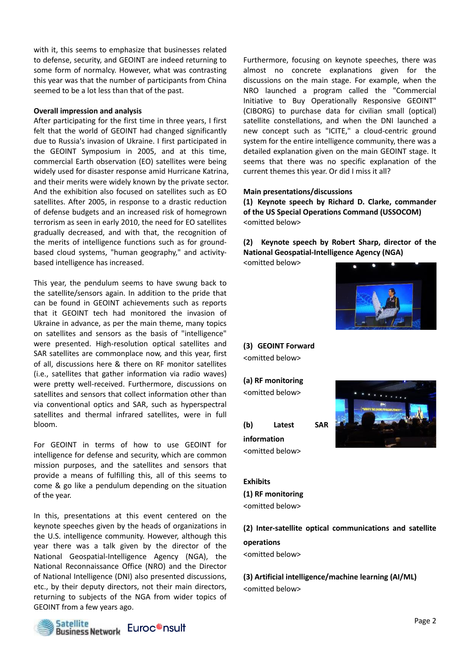with it, this seems to emphasize that businesses related to defense, security, and GEOINT are indeed returning to some form of normalcy. However, what was contrasting this year was that the number of participants from China seemed to be a lot less than that of the past.

### **Overall impression and analysis**

After participating for the first time in three years, I first felt that the world of GEOINT had changed significantly due to Russia's invasion of Ukraine. I first participated in the GEOINT Symposium in 2005, and at this time, commercial Earth observation (EO) satellites were being widely used for disaster response amid Hurricane Katrina, and their merits were widely known by the private sector. And the exhibition also focused on satellites such as EO satellites. After 2005, in response to a drastic reduction of defense budgets and an increased risk of homegrown terrorism as seen in early 2010, the need for EO satellites gradually decreased, and with that, the recognition of the merits of intelligence functions such as for groundbased cloud systems, "human geography," and activitybased intelligence has increased.

This year, the pendulum seems to have swung back to the satellite/sensors again. In addition to the pride that can be found in GEOINT achievements such as reports that it GEOINT tech had monitored the invasion of Ukraine in advance, as per the main theme, many topics on satellites and sensors as the basis of "intelligence" were presented. High-resolution optical satellites and SAR satellites are commonplace now, and this year, first of all, discussions here & there on RF monitor satellites (i.e., satellites that gather information via radio waves) were pretty well-received. Furthermore, discussions on satellites and sensors that collect information other than via conventional optics and SAR, such as hyperspectral satellites and thermal infrared satellites, were in full bloom.

For GEOINT in terms of how to use GEOINT for intelligence for defense and security, which are common mission purposes, and the satellites and sensors that provide a means of fulfilling this, all of this seems to come & go like a pendulum depending on the situation of the year.

In this, presentations at this event centered on the keynote speeches given by the heads of organizations in the U.S. intelligence community. However, although this year there was a talk given by the director of the National Geospatial-Intelligence Agency (NGA), the National Reconnaissance Office (NRO) and the Director of National Intelligence (DNI) also presented discussions, etc., by their deputy directors, not their main directors, returning to subjects of the NGA from wider topics of GEOINT from a few years ago.



Furthermore, focusing on keynote speeches, there was almost no concrete explanations given for the discussions on the main stage. For example, when the NRO launched a program called the "Commercial Initiative to Buy Operationally Responsive GEOINT" (CIBORG) to purchase data for civilian small (optical) satellite constellations, and when the DNI launched a new concept such as "ICITE," a cloud-centric ground system for the entire intelligence community, there was a detailed explanation given on the main GEOINT stage. It seems that there was no specific explanation of the current themes this year. Or did I miss it all?

#### **Main presentations/discussions**

**(1) Keynote speech by Richard D. Clarke, commander of the US Special Operations Command (USSOCOM)** <omitted below>

**(2) Keynote speech by Robert Sharp, director of the National Geospatial-Intelligence Agency (NGA)**

<omitted below>



## **(3) GEOINT Forward**

<omitted below>

**(a) RF monitoring** <omitted below>

**(b) Latest SAR information** <omitted below>



### **Exhibits (1) RF monitoring** <omitted below>

**(2) Inter-satellite optical communications and satellite** 

### **operations**

<omitted below>

**(3) Artificial intelligence/machine learning (AI/ML)** <omitted below>